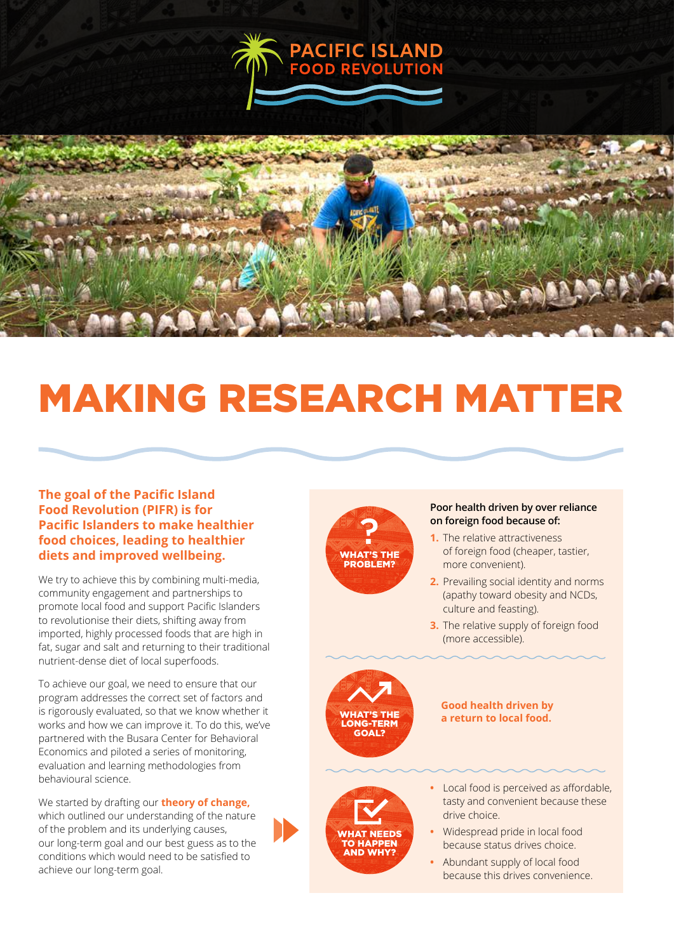



# MAKING RESEARCH MATTER

## **The goal of the Pacific Island Food Revolution (PIFR) is for Pacific Islanders to make healthier food choices, leading to healthier diets and improved wellbeing.**

We try to achieve this by combining multi-media, community engagement and partnerships to promote local food and support Pacific Islanders to revolutionise their diets, shifting away from imported, highly processed foods that are high in fat, sugar and salt and returning to their traditional nutrient-dense diet of local superfoods.

To achieve our goal, we need to ensure that our program addresses the correct set of factors and is rigorously evaluated, so that we know whether it works and how we can improve it. To do this, we've partnered with the Busara Center for Behavioral Economics and piloted a series of monitoring, evaluation and learning methodologies from behavioural science.

We started by drafting our **theory of change,** which outlined our understanding of the nature of the problem and its underlying causes, our long-term goal and our best guess as to the conditions which would need to be satisfied to achieve our long-term goal.



#### **Poor health driven by over reliance on foreign food because of:**

- **1.** The relative attractiveness of foreign food (cheaper, tastier, more convenient).
- **2.** Prevailing social identity and norms (apathy toward obesity and NCDs, culture and feasting).
- **3.** The relative supply of foreign food (more accessible).



#### **Good health driven by a return to local food.**



- **•** Local food is perceived as affordable, tasty and convenient because these drive choice.
- **•** Widespread pride in local food because status drives choice.
- **•** Abundant supply of local food because this drives convenience.